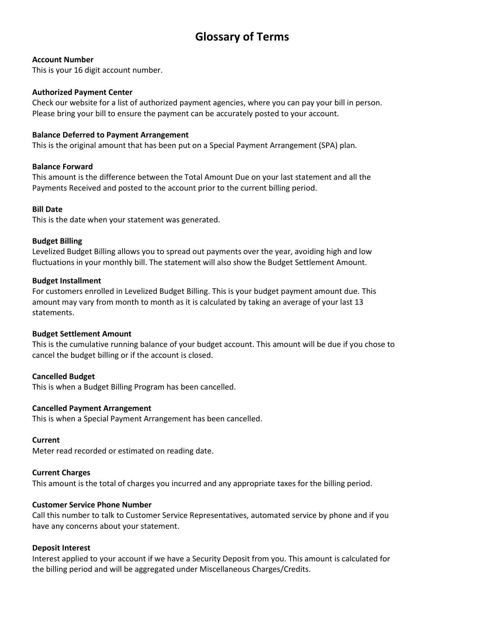# **Glossary of Terms**

# **Account Number**

This is your 16 digit account number.

#### **Authorized Payment Center**

Check our website for a list of authorized payment agencies, where you can pay your bill in person. Please bring your bill to ensure the payment can be accurately posted to your account.

#### **Balance Deferred to Payment Arrangement**

This is the original amount that has been put on a Special Payment Arrangement (SPA) plan.

# **Balance Forward**

This amount is the difference between the Total Amount Due on your last statement and all the Payments Received and posted to the account prior to the current billing period.

#### **Bill Date**

This is the date when your statement was generated.

#### **Budget Billing**

Levelized Budget Billing allows you to spread out payments over the year, avoiding high and low fluctuations in your monthly bill. The statement will also show the Budget Settlement Amount.

#### **Budget Installment**

For customers enrolled in Levelized Budget Billing. This is your budget payment amount due. This amount may vary from month to month as it is calculated by taking an average of your last 13 statements.

# **Budget Settlement Amount**

This is the cumulative running balance of your budget account. This amount will be due if you chose to cancel the budget billing or if the account is closed.

# **Cancelled Budget**

This is when a Budget Billing Program has been cancelled.

#### **Cancelled Payment Arrangement**

This is when a Special Payment Arrangement has been cancelled.

# **Current**

Meter read recorded or estimated on reading date.

# **Current Charges**

This amount is the total of charges you incurred and any appropriate taxes for the billing period.

# **Customer Service Phone Number**

Call this number to talk to Customer Service Representatives, automated service by phone and if you have any concerns about your statement.

# **Deposit Interest**

Interest applied to your account if we have a Security Deposit from you. This amount is calculated for the billing period and will be aggregated under Miscellaneous Charges/Credits.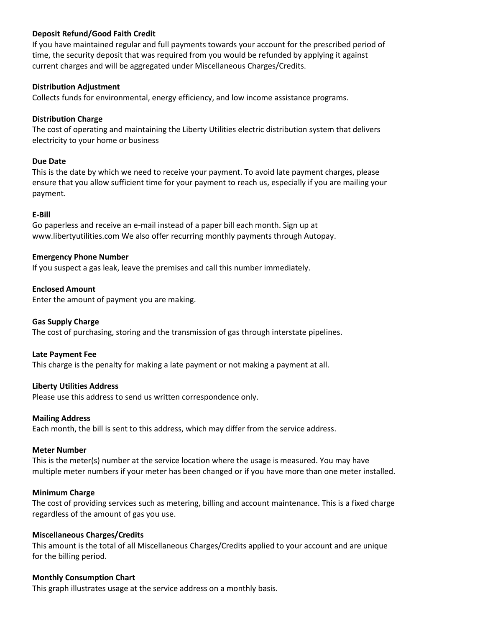# **Deposit Refund/Good Faith Credit**

If you have maintained regular and full payments towards your account for the prescribed period of time, the security deposit that was required from you would be refunded by applying it against current charges and will be aggregated under Miscellaneous Charges/Credits.

#### **Distribution Adjustment**

Collects funds for environmental, energy efficiency, and low income assistance programs.

# **Distribution Charge**

The cost of operating and maintaining the Liberty Utilities electric distribution system that delivers electricity to your home or business

# **Due Date**

This is the date by which we need to receive your payment. To avoid late payment charges, please ensure that you allow sufficient time for your payment to reach us, especially if you are mailing your payment.

#### **E-Bill**

Go paperless and receive an e-mail instead of a paper bill each month. Sign up at [www.libertyutilities.com](http://www.libertyutilities.com/) We also offer recurring monthly payments through Autopay.

#### **Emergency Phone Number**

If you suspect a gas leak, leave the premises and call this number immediately.

#### **Enclosed Amount**

Enter the amount of payment you are making.

# **Gas Supply Charge**

The cost of purchasing, storing and the transmission of gas through interstate pipelines.

#### **Late Payment Fee**

This charge is the penalty for making a late payment or not making a payment at all.

# **Liberty Utilities Address**

Please use this address to send us written correspondence only.

#### **Mailing Address**

Each month, the bill is sent to this address, which may differ from the service address.

#### **Meter Number**

This is the meter(s) number at the service location where the usage is measured. You may have multiple meter numbers if your meter has been changed or if you have more than one meter installed.

#### **Minimum Charge**

The cost of providing services such as metering, billing and account maintenance. This is a fixed charge regardless of the amount of gas you use.

# **Miscellaneous Charges/Credits**

This amount is the total of all Miscellaneous Charges/Credits applied to your account and are unique for the billing period.

#### **Monthly Consumption Chart**

This graph illustrates usage at the service address on a monthly basis.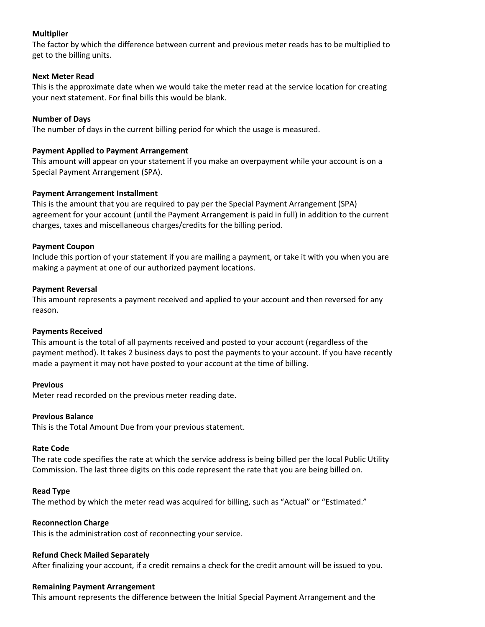# **Multiplier**

The factor by which the difference between current and previous meter reads has to be multiplied to get to the billing units.

# **Next Meter Read**

This is the approximate date when we would take the meter read at the service location for creating your next statement. For final bills this would be blank.

# **Number of Days**

The number of days in the current billing period for which the usage is measured.

# **Payment Applied to Payment Arrangement**

This amount will appear on your statement if you make an overpayment while your account is on a Special Payment Arrangement (SPA).

# **Payment Arrangement Installment**

This is the amount that you are required to pay per the Special Payment Arrangement (SPA) agreement for your account (until the Payment Arrangement is paid in full) in addition to the current charges, taxes and miscellaneous charges/credits for the billing period.

# **Payment Coupon**

Include this portion of your statement if you are mailing a payment, or take it with you when you are making a payment at one of our authorized payment locations.

# **Payment Reversal**

This amount represents a payment received and applied to your account and then reversed for any reason.

# **Payments Received**

This amount is the total of all payments received and posted to your account (regardless of the payment method). It takes 2 business days to post the payments to your account. If you have recently made a payment it may not have posted to your account at the time of billing.

# **Previous**

Meter read recorded on the previous meter reading date.

# **Previous Balance**

This is the Total Amount Due from your previous statement.

# **Rate Code**

The rate code specifies the rate at which the service address is being billed per the local Public Utility Commission. The last three digits on this code represent the rate that you are being billed on.

# **Read Type**

The method by which the meter read was acquired for billing, such as "Actual" or "Estimated."

# **Reconnection Charge**

This is the administration cost of reconnecting your service.

# **Refund Check Mailed Separately**

After finalizing your account, if a credit remains a check for the credit amount will be issued to you.

# **Remaining Payment Arrangement**

This amount represents the difference between the Initial Special Payment Arrangement and the